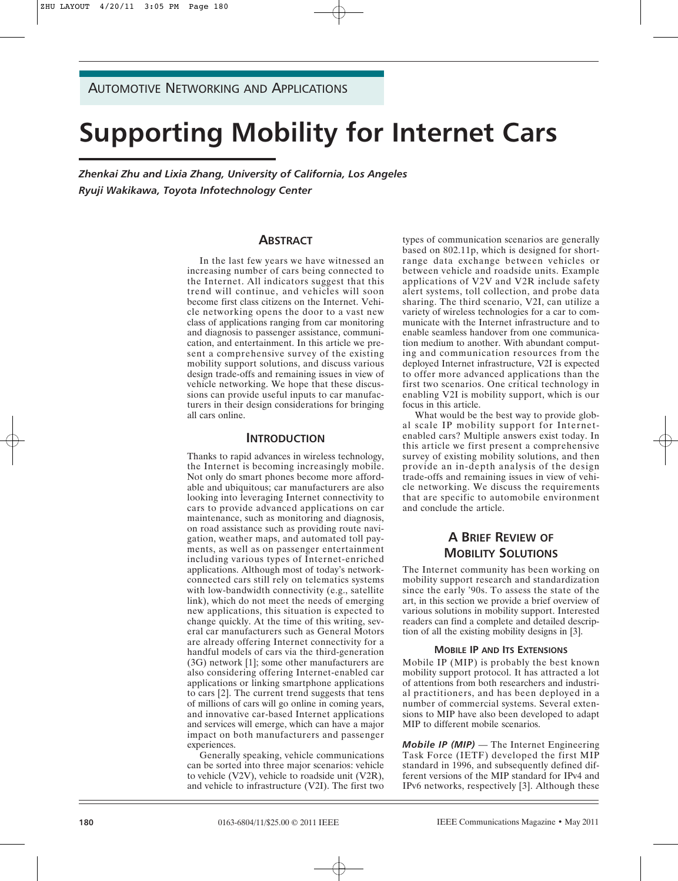# **Supporting Mobility for Internet Cars**

*Zhenkai Zhu and Lixia Zhang, University of California, Los Angeles Ryuji Wakikawa, Toyota Infotechnology Center*

# **ABSTRACT**

In the last few years we have witnessed an increasing number of cars being connected to the Internet. All indicators suggest that this trend will continue, and vehicles will soon become first class citizens on the Internet. Vehicle networking opens the door to a vast new class of applications ranging from car monitoring and diagnosis to passenger assistance, communication, and entertainment. In this article we present a comprehensive survey of the existing mobility support solutions, and discuss various design trade-offs and remaining issues in view of vehicle networking. We hope that these discussions can provide useful inputs to car manufacturers in their design considerations for bringing all cars online.

#### **INTRODUCTION**

Thanks to rapid advances in wireless technology, the Internet is becoming increasingly mobile. Not only do smart phones become more affordable and ubiquitous; car manufacturers are also looking into leveraging Internet connectivity to cars to provide advanced applications on car maintenance, such as monitoring and diagnosis, on road assistance such as providing route navigation, weather maps, and automated toll payments, as well as on passenger entertainment including various types of Internet-enriched applications. Although most of today's networkconnected cars still rely on telematics systems with low-bandwidth connectivity (e.g., satellite link), which do not meet the needs of emerging new applications, this situation is expected to change quickly. At the time of this writing, several car manufacturers such as General Motors are already offering Internet connectivity for a handful models of cars via the third-generation (3G) network [1]; some other manufacturers are also considering offering Internet-enabled car applications or linking smartphone applications to cars [2]. The current trend suggests that tens of millions of cars will go online in coming years, and innovative car-based Internet applications and services will emerge, which can have a major impact on both manufacturers and passenger experiences.

Generally speaking, vehicle communications can be sorted into three major scenarios: vehicle to vehicle (V2V), vehicle to roadside unit (V2R), and vehicle to infrastructure (V2I). The first two

types of communication scenarios are generally based on 802.11p, which is designed for shortrange data exchange between vehicles or between vehicle and roadside units. Example applications of V2V and V2R include safety alert systems, toll collection, and probe data sharing. The third scenario, V2I, can utilize a variety of wireless technologies for a car to communicate with the Internet infrastructure and to enable seamless handover from one communication medium to another. With abundant computing and communication resources from the deployed Internet infrastructure, V2I is expected to offer more advanced applications than the first two scenarios. One critical technology in enabling V2I is mobility support, which is our focus in this article.

What would be the best way to provide global scale IP mobility support for Internetenabled cars? Multiple answers exist today. In this article we first present a comprehensive survey of existing mobility solutions, and then provide an in-depth analysis of the design trade-offs and remaining issues in view of vehicle networking. We discuss the requirements that are specific to automobile environment and conclude the article.

# **A BRIEF REVIEW OF MOBILITY SOLUTIONS**

The Internet community has been working on mobility support research and standardization since the early '90s. To assess the state of the art, in this section we provide a brief overview of various solutions in mobility support. Interested readers can find a complete and detailed description of all the existing mobility designs in [3].

#### **MOBILE IP AND ITS EXTENSIONS**

Mobile IP (MIP) is probably the best known mobility support protocol. It has attracted a lot of attentions from both researchers and industrial practitioners, and has been deployed in a number of commercial systems. Several extensions to MIP have also been developed to adapt MIP to different mobile scenarios.

*Mobile IP (MIP)* — The Internet Engineering Task Force (IETF) developed the first MIP standard in 1996, and subsequently defined different versions of the MIP standard for IPv4 and IPv6 networks, respectively [3]. Although these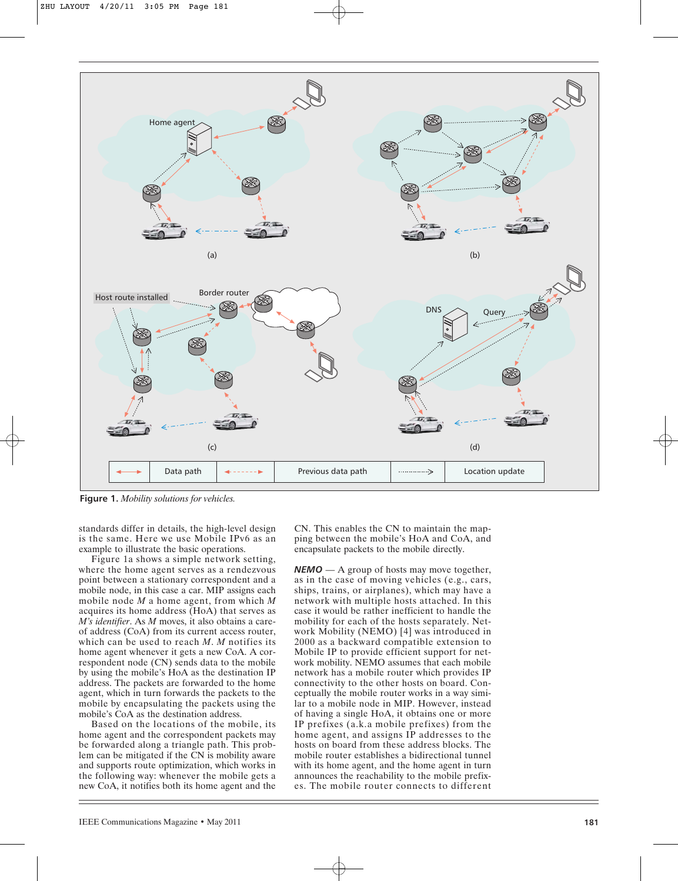

**Figure 1.** *Mobility solutions for vehicles.*

standards differ in details, the high-level design is the same. Here we use Mobile IPv6 as an example to illustrate the basic operations.

Figure 1a shows a simple network setting, where the home agent serves as a rendezvous point between a stationary correspondent and a mobile node, in this case a car. MIP assigns each mobile node *M* a home agent, from which *M* acquires its home address (HoA) that serves as *M's identifier*. As *M* moves, it also obtains a careof address (CoA) from its current access router, which can be used to reach *M*. *M* notifies its home agent whenever it gets a new CoA. A correspondent node (CN) sends data to the mobile by using the mobile's HoA as the destination IP address. The packets are forwarded to the home agent, which in turn forwards the packets to the mobile by encapsulating the packets using the mobile's CoA as the destination address.

Based on the locations of the mobile, its home agent and the correspondent packets may be forwarded along a triangle path. This problem can be mitigated if the CN is mobility aware and supports route optimization, which works in the following way: whenever the mobile gets a new CoA, it notifies both its home agent and the CN. This enables the CN to maintain the mapping between the mobile's HoA and CoA, and encapsulate packets to the mobile directly.

*NEMO* — A group of hosts may move together, as in the case of moving vehicles (e.g., cars, ships, trains, or airplanes), which may have a network with multiple hosts attached. In this case it would be rather inefficient to handle the mobility for each of the hosts separately. Network Mobility (NEMO) [4] was introduced in 2000 as a backward compatible extension to Mobile IP to provide efficient support for network mobility. NEMO assumes that each mobile network has a mobile router which provides IP connectivity to the other hosts on board. Conceptually the mobile router works in a way similar to a mobile node in MIP. However, instead of having a single HoA, it obtains one or more IP prefixes (a.k.a mobile prefixes) from the home agent, and assigns IP addresses to the hosts on board from these address blocks. The mobile router establishes a bidirectional tunnel with its home agent, and the home agent in turn announces the reachability to the mobile prefixes. The mobile router connects to different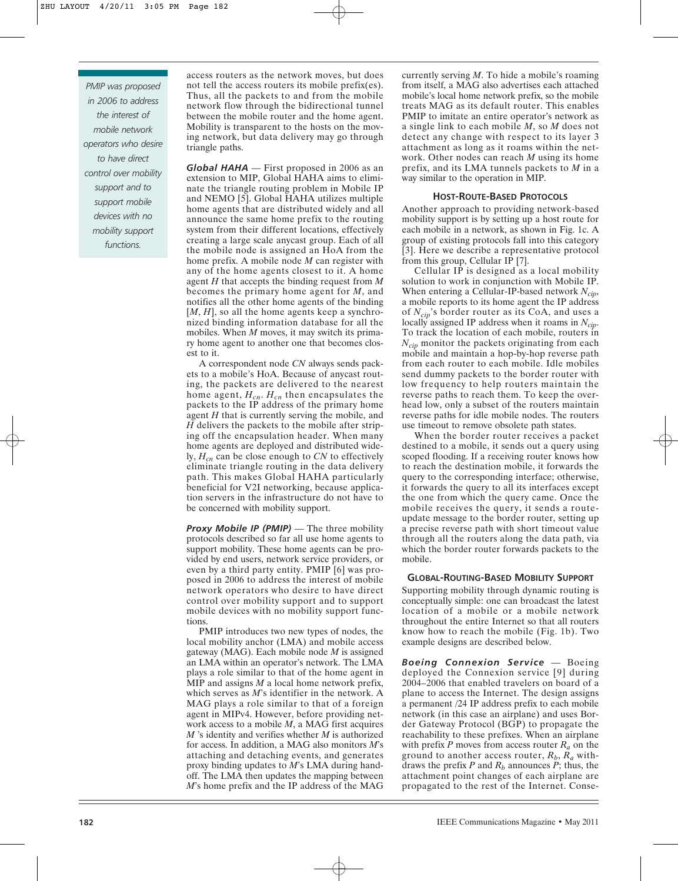*PMIP was proposed in 2006 to address the interest of mobile network operators who desire to have direct control over mobility support and to support mobile devices with no mobility support functions.*

access routers as the network moves, but does not tell the access routers its mobile prefix(es). Thus, all the packets to and from the mobile network flow through the bidirectional tunnel between the mobile router and the home agent. Mobility is transparent to the hosts on the moving network, but data delivery may go through triangle paths.

*Global HAHA* — First proposed in 2006 as an extension to MIP, Global HAHA aims to eliminate the triangle routing problem in Mobile IP and NEMO [5]. Global HAHA utilizes multiple home agents that are distributed widely and all announce the same home prefix to the routing system from their different locations, effectively creating a large scale anycast group. Each of all the mobile node is assigned an HoA from the home prefix. A mobile node *M* can register with any of the home agents closest to it. A home agent *H* that accepts the binding request from *M* becomes the primary home agent for *M*, and notifies all the other home agents of the binding [*M*, *H*], so all the home agents keep a synchronized binding information database for all the mobiles. When *M* moves, it may switch its primary home agent to another one that becomes closest to it.

A correspondent node *CN* always sends packets to a mobile's HoA. Because of anycast routing, the packets are delivered to the nearest home agent,  $H_{cn}$ .  $H_{cn}$  then encapsulates the packets to the IP address of the primary home agent *H* that is currently serving the mobile, and *H* delivers the packets to the mobile after striping off the encapsulation header. When many home agents are deployed and distributed widely,  $H_{cn}$  can be close enough to *CN* to effectively eliminate triangle routing in the data delivery path. This makes Global HAHA particularly beneficial for V2I networking, because application servers in the infrastructure do not have to be concerned with mobility support.

*Proxy Mobile IP (PMIP)* — The three mobility protocols described so far all use home agents to support mobility. These home agents can be provided by end users, network service providers, or even by a third party entity. PMIP [6] was proposed in 2006 to address the interest of mobile network operators who desire to have direct control over mobility support and to support mobile devices with no mobility support functions.

PMIP introduces two new types of nodes, the local mobility anchor (LMA) and mobile access gateway (MAG). Each mobile node *M* is assigned an LMA within an operator's network. The LMA plays a role similar to that of the home agent in MIP and assigns *M* a local home network prefix, which serves as *M*'s identifier in the network. A MAG plays a role similar to that of a foreign agent in MIPv4. However, before providing network access to a mobile *M*, a MAG first acquires *M* 's identity and verifies whether *M* is authorized for access. In addition, a MAG also monitors *M*'s attaching and detaching events, and generates proxy binding updates to *M*'s LMA during handoff. The LMA then updates the mapping between *M*'s home prefix and the IP address of the MAG currently serving *M*. To hide a mobile's roaming from itself, a MAG also advertises each attached mobile's local home network prefix, so the mobile treats MAG as its default router. This enables PMIP to imitate an entire operator's network as a single link to each mobile *M*, so *M* does not detect any change with respect to its layer 3 attachment as long as it roams within the network. Other nodes can reach *M* using its home prefix, and its LMA tunnels packets to *M* in a way similar to the operation in MIP.

#### **HOST-ROUTE-BASED PROTOCOLS**

Another approach to providing network-based mobility support is by setting up a host route for each mobile in a network, as shown in Fig. 1c. A group of existing protocols fall into this category [3]. Here we describe a representative protocol from this group, Cellular IP [7].

Cellular IP is designed as a local mobility solution to work in conjunction with Mobile IP. When entering a Cellular-IP-based network *N<sub>cip</sub>*, a mobile reports to its home agent the IP address of *Ncip*'s border router as its CoA, and uses a locally assigned IP address when it roams in *Ncip*. To track the location of each mobile, routers in *N<sub>cip</sub>* monitor the packets originating from each mobile and maintain a hop-by-hop reverse path from each router to each mobile. Idle mobiles send dummy packets to the border router with low frequency to help routers maintain the reverse paths to reach them. To keep the overhead low, only a subset of the routers maintain reverse paths for idle mobile nodes. The routers use timeout to remove obsolete path states.

When the border router receives a packet destined to a mobile, it sends out a query using scoped flooding. If a receiving router knows how to reach the destination mobile, it forwards the query to the corresponding interface; otherwise, it forwards the query to all its interfaces except the one from which the query came. Once the mobile receives the query, it sends a routeupdate message to the border router, setting up a precise reverse path with short timeout value through all the routers along the data path, via which the border router forwards packets to the mobile.

## **GLOBAL-ROUTING-BASED MOBILITY SUPPORT**

Supporting mobility through dynamic routing is conceptually simple: one can broadcast the latest location of a mobile or a mobile network throughout the entire Internet so that all routers know how to reach the mobile (Fig. 1b). Two example designs are described below.

*Boeing Connexion Service* — Boeing deployed the Connexion service [9] during 2004–2006 that enabled travelers on board of a plane to access the Internet. The design assigns a permanent /24 IP address prefix to each mobile network (in this case an airplane) and uses Border Gateway Protocol (BGP) to propagate the reachability to these prefixes. When an airplane with prefix *P* moves from access router *Ra* on the ground to another access router, *Rb*, *Ra* withdraws the prefix *P* and  $R_b$  announces *P*; thus, the attachment point changes of each airplane are propagated to the rest of the Internet. Conse-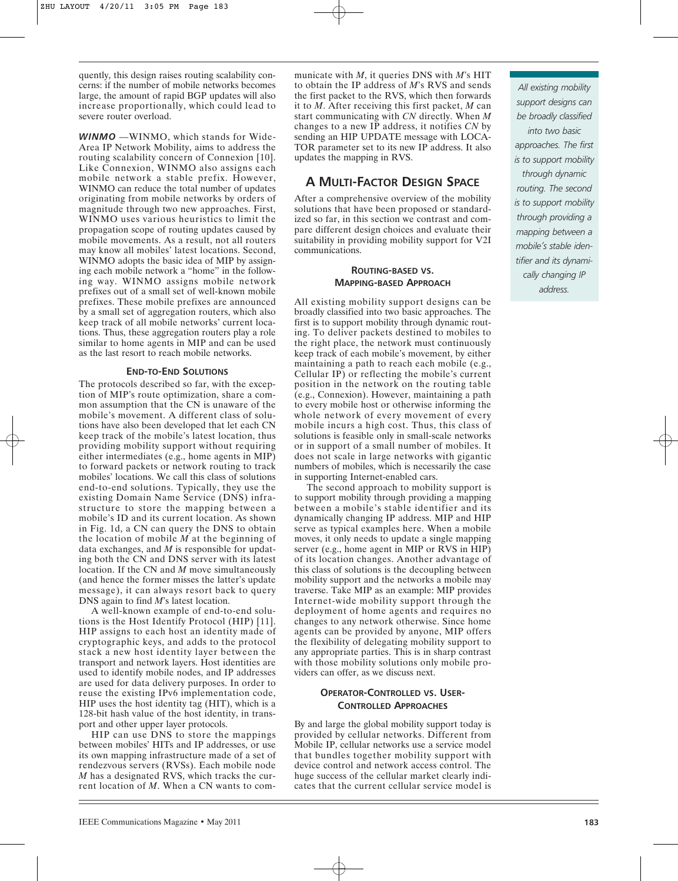quently, this design raises routing scalability concerns: if the number of mobile networks becomes large, the amount of rapid BGP updates will also increase proportionally, which could lead to severe router overload.

*WINMO* —WINMO, which stands for Wide-Area IP Network Mobility, aims to address the routing scalability concern of Connexion [10]. Like Connexion, WINMO also assigns each mobile network a stable prefix. However, WINMO can reduce the total number of updates originating from mobile networks by orders of magnitude through two new approaches. First, WINMO uses various heuristics to limit the propagation scope of routing updates caused by mobile movements. As a result, not all routers may know all mobiles' latest locations. Second, WINMO adopts the basic idea of MIP by assigning each mobile network a "home" in the following way. WINMO assigns mobile network prefixes out of a small set of well-known mobile prefixes. These mobile prefixes are announced by a small set of aggregation routers, which also keep track of all mobile networks' current locations. Thus, these aggregation routers play a role similar to home agents in MIP and can be used as the last resort to reach mobile networks.

#### **END-TO-END SOLUTIONS**

The protocols described so far, with the exception of MIP's route optimization, share a common assumption that the CN is unaware of the mobile's movement. A different class of solutions have also been developed that let each CN keep track of the mobile's latest location, thus providing mobility support without requiring either intermediates (e.g., home agents in MIP) to forward packets or network routing to track mobiles' locations. We call this class of solutions end-to-end solutions. Typically, they use the existing Domain Name Service (DNS) infrastructure to store the mapping between a mobile's ID and its current location. As shown in Fig. 1d, a CN can query the DNS to obtain the location of mobile *M* at the beginning of data exchanges, and *M* is responsible for updating both the CN and DNS server with its latest location. If the CN and *M* move simultaneously (and hence the former misses the latter's update message), it can always resort back to query DNS again to find *M*'s latest location.

A well-known example of end-to-end solutions is the Host Identify Protocol (HIP) [11]. HIP assigns to each host an identity made of cryptographic keys, and adds to the protocol stack a new host identity layer between the transport and network layers. Host identities are used to identify mobile nodes, and IP addresses are used for data delivery purposes. In order to reuse the existing IPv6 implementation code, HIP uses the host identity tag (HIT), which is a 128-bit hash value of the host identity, in transport and other upper layer protocols.

HIP can use DNS to store the mappings between mobiles' HITs and IP addresses, or use its own mapping infrastructure made of a set of rendezvous servers (RVSs). Each mobile node *M* has a designated RVS, which tracks the current location of *M*. When a CN wants to communicate with *M*, it queries DNS with *M*'s HIT to obtain the IP address of *M*'s RVS and sends the first packet to the RVS, which then forwards it to *M*. After receiving this first packet, *M* can start communicating with *CN* directly. When *M* changes to a new IP address, it notifies *CN* by sending an HIP UPDATE message with LOCA-TOR parameter set to its new IP address. It also updates the mapping in RVS.

# **A MULTI-FACTOR DESIGN SPACE**

After a comprehensive overview of the mobility solutions that have been proposed or standardized so far, in this section we contrast and compare different design choices and evaluate their suitability in providing mobility support for V2I communications.

# **ROUTING-BASED VS. MAPPING-BASED APPROACH**

All existing mobility support designs can be broadly classified into two basic approaches. The first is to support mobility through dynamic routing. To deliver packets destined to mobiles to the right place, the network must continuously keep track of each mobile's movement, by either maintaining a path to reach each mobile (e.g., Cellular IP) or reflecting the mobile's current position in the network on the routing table (e.g., Connexion). However, maintaining a path to every mobile host or otherwise informing the whole network of every movement of every mobile incurs a high cost. Thus, this class of solutions is feasible only in small-scale networks or in support of a small number of mobiles. It does not scale in large networks with gigantic numbers of mobiles, which is necessarily the case in supporting Internet-enabled cars.

The second approach to mobility support is to support mobility through providing a mapping between a mobile's stable identifier and its dynamically changing IP address. MIP and HIP serve as typical examples here. When a mobile moves, it only needs to update a single mapping server (e.g., home agent in MIP or RVS in HIP) of its location changes. Another advantage of this class of solutions is the decoupling between mobility support and the networks a mobile may traverse. Take MIP as an example: MIP provides Internet-wide mobility support through the deployment of home agents and requires no changes to any network otherwise. Since home agents can be provided by anyone, MIP offers the flexibility of delegating mobility support to any appropriate parties. This is in sharp contrast with those mobility solutions only mobile providers can offer, as we discuss next.

## **OPERATOR-CONTROLLED VS. USER-CONTROLLED APPROACHES**

By and large the global mobility support today is provided by cellular networks. Different from Mobile IP, cellular networks use a service model that bundles together mobility support with device control and network access control. The huge success of the cellular market clearly indicates that the current cellular service model is

*All existing mobility support designs can be broadly classified into two basic approaches. The first is to support mobility through dynamic routing. The second is to support mobility through providing a mapping between a mobile's stable identifier and its dynamically changing IP address.*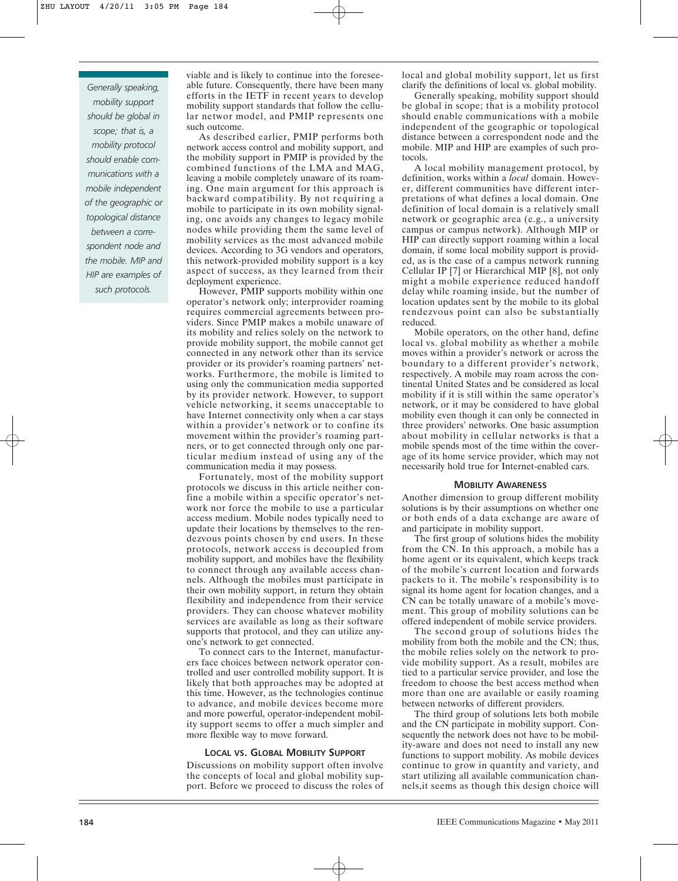*Generally speaking, mobility support should be global in scope; that is, a mobility protocol should enable communications with a mobile independent of the geographic or topological distance between a correspondent node and the mobile. MIP and HIP are examples of such protocols.*

viable and is likely to continue into the foreseeable future. Consequently, there have been many efforts in the IETF in recent years to develop mobility support standards that follow the cellular networ model, and PMIP represents one such outcome.

As described earlier, PMIP performs both network access control and mobility support, and the mobility support in PMIP is provided by the combined functions of the LMA and MAG, leaving a mobile completely unaware of its roaming. One main argument for this approach is backward compatibility. By not requiring a mobile to participate in its own mobility signaling, one avoids any changes to legacy mobile nodes while providing them the same level of mobility services as the most advanced mobile devices. According to 3G vendors and operators, this network-provided mobility support is a key aspect of success, as they learned from their deployment experience.

However, PMIP supports mobility within one operator's network only; interprovider roaming requires commercial agreements between providers. Since PMIP makes a mobile unaware of its mobility and relies solely on the network to provide mobility support, the mobile cannot get connected in any network other than its service provider or its provider's roaming partners' networks. Furthermore, the mobile is limited to using only the communication media supported by its provider network. However, to support vehicle networking, it seems unacceptable to have Internet connectivity only when a car stays within a provider's network or to confine its movement within the provider's roaming partners, or to get connected through only one particular medium instead of using any of the communication media it may possess.

Fortunately, most of the mobility support protocols we discuss in this article neither confine a mobile within a specific operator's network nor force the mobile to use a particular access medium. Mobile nodes typically need to update their locations by themselves to the rendezvous points chosen by end users. In these protocols, network access is decoupled from mobility support, and mobiles have the flexibility to connect through any available access channels. Although the mobiles must participate in their own mobility support, in return they obtain flexibility and independence from their service providers. They can choose whatever mobility services are available as long as their software supports that protocol, and they can utilize anyone's network to get connected.

To connect cars to the Internet, manufacturers face choices between network operator controlled and user controlled mobility support. It is likely that both approaches may be adopted at this time. However, as the technologies continue to advance, and mobile devices become more and more powerful, operator-independent mobility support seems to offer a much simpler and more flexible way to move forward.

#### **LOCAL VS. GLOBAL MOBILITY SUPPORT**

Discussions on mobility support often involve the concepts of local and global mobility support. Before we proceed to discuss the roles of local and global mobility support, let us first clarify the definitions of local vs. global mobility.

Generally speaking, mobility support should be global in scope; that is a mobility protocol should enable communications with a mobile independent of the geographic or topological distance between a correspondent node and the mobile. MIP and HIP are examples of such protocols.

A local mobility management protocol, by definition, works within a *local* domain. However, different communities have different interpretations of what defines a local domain. One definition of local domain is a relatively small network or geographic area (e.g., a university campus or campus network). Although MIP or HIP can directly support roaming within a local domain, if some local mobility support is provided, as is the case of a campus network running Cellular IP [7] or Hierarchical MIP [8], not only might a mobile experience reduced handoff delay while roaming inside, but the number of location updates sent by the mobile to its global rendezvous point can also be substantially reduced.

Mobile operators, on the other hand, define local vs. global mobility as whether a mobile moves within a provider's network or across the boundary to a different provider's network, respectively. A mobile may roam across the continental United States and be considered as local mobility if it is still within the same operator's network, or it may be considered to have global mobility even though it can only be connected in three providers' networks. One basic assumption about mobility in cellular networks is that a mobile spends most of the time within the coverage of its home service provider, which may not necessarily hold true for Internet-enabled cars.

#### **MOBILITY AWARENESS**

Another dimension to group different mobility solutions is by their assumptions on whether one or both ends of a data exchange are aware of and participate in mobility support.

The first group of solutions hides the mobility from the CN. In this approach, a mobile has a home agent or its equivalent, which keeps track of the mobile's current location and forwards packets to it. The mobile's responsibility is to signal its home agent for location changes, and a CN can be totally unaware of a mobile's movement. This group of mobility solutions can be offered independent of mobile service providers.

The second group of solutions hides the mobility from both the mobile and the CN; thus, the mobile relies solely on the network to provide mobility support. As a result, mobiles are tied to a particular service provider, and lose the freedom to choose the best access method when more than one are available or easily roaming between networks of different providers.

The third group of solutions lets both mobile and the CN participate in mobility support. Consequently the network does not have to be mobility-aware and does not need to install any new functions to support mobility. As mobile devices continue to grow in quantity and variety, and start utilizing all available communication channels,it seems as though this design choice will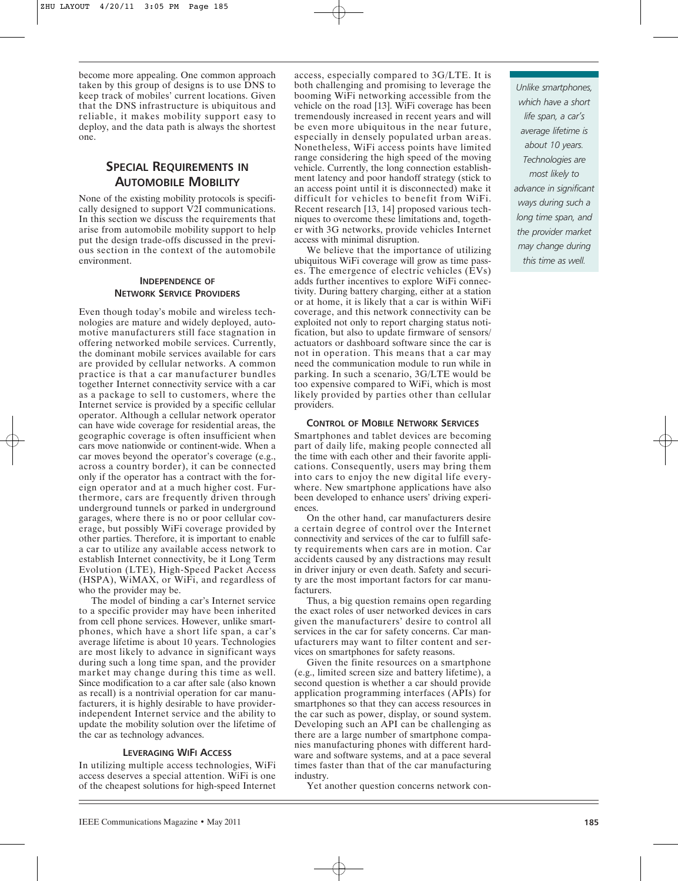become more appealing. One common approach taken by this group of designs is to use DNS to keep track of mobiles' current locations. Given that the DNS infrastructure is ubiquitous and reliable, it makes mobility support easy to deploy, and the data path is always the shortest one.

# **SPECIAL REQUIREMENTS IN AUTOMOBILE MOBILITY**

None of the existing mobility protocols is specifically designed to support V2I communications. In this section we discuss the requirements that arise from automobile mobility support to help put the design trade-offs discussed in the previous section in the context of the automobile environment.

# **INDEPENDENCE OF NETWORK SERVICE PROVIDERS**

Even though today's mobile and wireless technologies are mature and widely deployed, automotive manufacturers still face stagnation in offering networked mobile services. Currently, the dominant mobile services available for cars are provided by cellular networks. A common practice is that a car manufacturer bundles together Internet connectivity service with a car as a package to sell to customers, where the Internet service is provided by a specific cellular operator. Although a cellular network operator can have wide coverage for residential areas, the geographic coverage is often insufficient when cars move nationwide or continent-wide. When a car moves beyond the operator's coverage (e.g., across a country border), it can be connected only if the operator has a contract with the foreign operator and at a much higher cost. Furthermore, cars are frequently driven through underground tunnels or parked in underground garages, where there is no or poor cellular coverage, but possibly WiFi coverage provided by other parties. Therefore, it is important to enable a car to utilize any available access network to establish Internet connectivity, be it Long Term Evolution (LTE), High-Speed Packet Access (HSPA), WiMAX, or WiFi, and regardless of who the provider may be.

The model of binding a car's Internet service to a specific provider may have been inherited from cell phone services. However, unlike smartphones, which have a short life span, a car's average lifetime is about 10 years. Technologies are most likely to advance in significant ways during such a long time span, and the provider market may change during this time as well. Since modification to a car after sale (also known as recall) is a nontrivial operation for car manufacturers, it is highly desirable to have providerindependent Internet service and the ability to update the mobility solution over the lifetime of the car as technology advances.

## **LEVERAGING WIFI ACCESS**

In utilizing multiple access technologies, WiFi access deserves a special attention. WiFi is one of the cheapest solutions for high-speed Internet

access, especially compared to 3G/LTE. It is both challenging and promising to leverage the booming WiFi networking accessible from the vehicle on the road [13]. WiFi coverage has been tremendously increased in recent years and will be even more ubiquitous in the near future, especially in densely populated urban areas. Nonetheless, WiFi access points have limited range considering the high speed of the moving vehicle. Currently, the long connection establishment latency and poor handoff strategy (stick to an access point until it is disconnected) make it difficult for vehicles to benefit from WiFi. Recent research [13, 14] proposed various techniques to overcome these limitations and, together with 3G networks, provide vehicles Internet access with minimal disruption.

We believe that the importance of utilizing ubiquitous WiFi coverage will grow as time passes. The emergence of electric vehicles (EVs) adds further incentives to explore WiFi connectivity. During battery charging, either at a station or at home, it is likely that a car is within WiFi coverage, and this network connectivity can be exploited not only to report charging status notification, but also to update firmware of sensors/ actuators or dashboard software since the car is not in operation. This means that a car may need the communication module to run while in parking. In such a scenario, 3G/LTE would be too expensive compared to WiFi, which is most likely provided by parties other than cellular providers.

## **CONTROL OF MOBILE NETWORK SERVICES**

Smartphones and tablet devices are becoming part of daily life, making people connected all the time with each other and their favorite applications. Consequently, users may bring them into cars to enjoy the new digital life everywhere. New smartphone applications have also been developed to enhance users' driving experiences.

On the other hand, car manufacturers desire a certain degree of control over the Internet connectivity and services of the car to fulfill safety requirements when cars are in motion. Car accidents caused by any distractions may result in driver injury or even death. Safety and security are the most important factors for car manufacturers.

Thus, a big question remains open regarding the exact roles of user networked devices in cars given the manufacturers' desire to control all services in the car for safety concerns. Car manufacturers may want to filter content and services on smartphones for safety reasons.

Given the finite resources on a smartphone (e.g., limited screen size and battery lifetime), a second question is whether a car should provide application programming interfaces (APIs) for smartphones so that they can access resources in the car such as power, display, or sound system. Developing such an API can be challenging as there are a large number of smartphone companies manufacturing phones with different hardware and software systems, and at a pace several times faster than that of the car manufacturing industry.

Yet another question concerns network con-

*Unlike smartphones, which have a short life span, a car's average lifetime is about 10 years. Technologies are most likely to advance in significant ways during such a long time span, and the provider market may change during this time as well.*